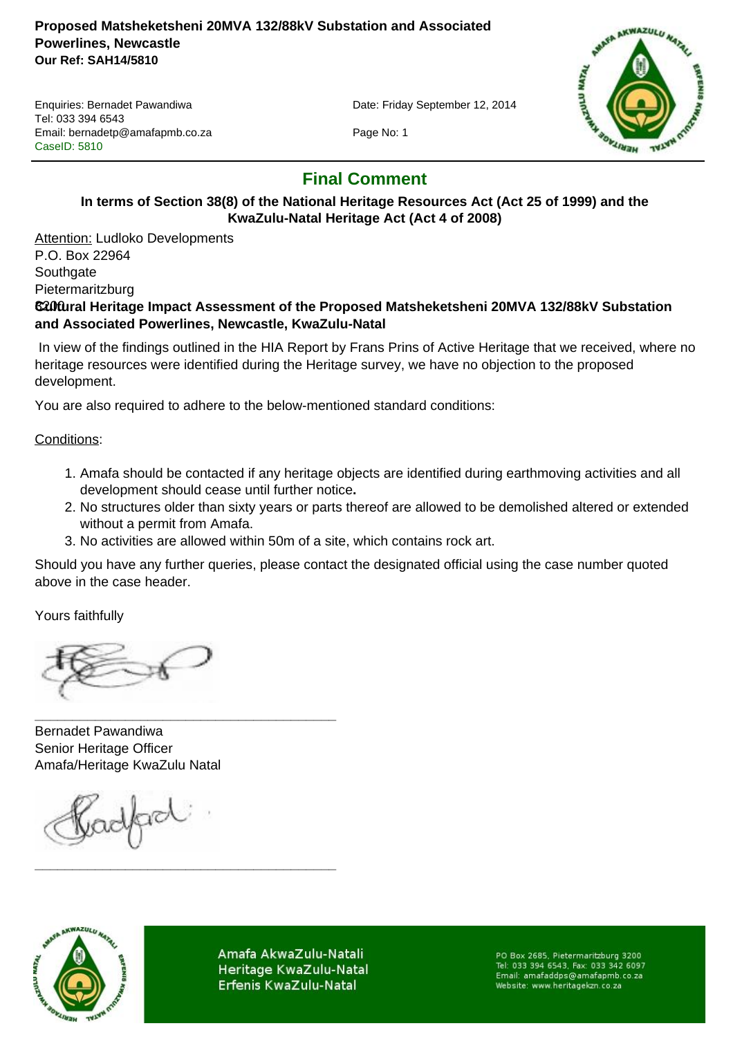#### **Proposed Matsheketsheni 20MVA 132/88kV Substation and Associated Powerlines, Newcastle Our Ref: SAH14/5810**

Enquiries: Bernadet Pawandiwa Date: Friday September 12, 2014 Tel: 033 394 6543 Email: bernadetp@amafapmb.co.za Page No: 1 CaseID: 5810



# **Final Comment**

# **In terms of Section 38(8) of the National Heritage Resources Act (Act 25 of 1999) and the KwaZulu-Natal Heritage Act (Act 4 of 2008)**

**Attention: Ludloko Developments** P.O. Box 22964 **Southgate** Pietermaritzburg

## 3200 **Cultural Heritage Impact Assessment of the Proposed Matsheketsheni 20MVA 132/88kV Substation and Associated Powerlines, Newcastle, KwaZulu-Natal**

 In view of the findings outlined in the HIA Report by Frans Prins of Active Heritage that we received, where no heritage resources were identified during the Heritage survey, we have no objection to the proposed development.

You are also required to adhere to the below-mentioned standard conditions:

#### Conditions:

- 1. Amafa should be contacted if any heritage objects are identified during earthmoving activities and all development should cease until further notice**.**
- 2. No structures older than sixty years or parts thereof are allowed to be demolished altered or extended without a permit from Amafa.
- 3. No activities are allowed within 50m of a site, which contains rock art.

Should you have any further queries, please contact the designated official using the case number quoted above in the case header.

Yours faithfully

Bernadet Pawandiwa Senior Heritage Officer Amafa/Heritage KwaZulu Natal

**\_\_\_\_\_\_\_\_\_\_\_\_\_\_\_\_\_\_\_\_\_\_\_\_\_\_\_\_\_\_\_\_\_\_\_\_\_\_\_\_**

**\_\_\_\_\_\_\_\_\_\_\_\_\_\_\_\_\_\_\_\_\_\_\_\_\_\_\_\_\_\_\_\_\_\_\_\_\_\_\_\_**

relfact



Amafa AkwaZulu-Natali Heritage KwaZulu-Natal Erfenis KwaZulu-Natal

PO Box 2685, Pietermaritzburg 3200<br>Tel: 033 394 6543, Fax: 033 342 6097 Email: amafaddps@amafapmb.co.za Website: www.heritagekzn.co.za